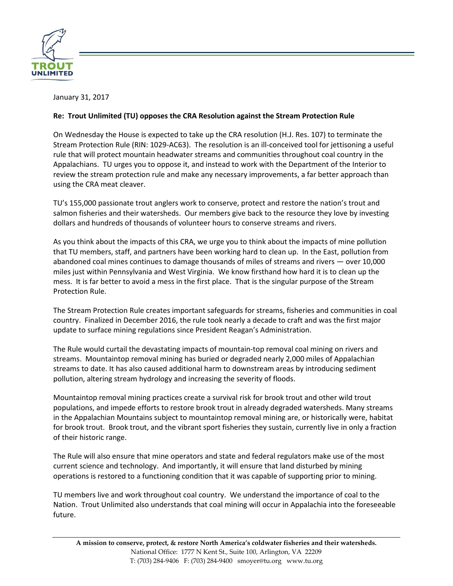

January 31, 2017

## **Re: Trout Unlimited (TU) opposes the CRA Resolution against the Stream Protection Rule**

On Wednesday the House is expected to take up the CRA resolution [\(H.J. Res. 107\)](https://www.congress.gov/114/bills/hjres107/BILLS-114hjres107ih.pdf) to terminate the Stream Protection Rule (RIN: [1029-AC63\)](https://s3.amazonaws.com/public-inspection.federalregister.gov/2016-29958.pdf). The resolution is an ill-conceived tool for jettisoning a useful rule that will protect mountain headwater streams and communities throughout coal country in the Appalachians. TU urges you to oppose it, and instead to work with the Department of the Interior to review the stream protection rule and make any necessary improvements, a far better approach than using the CRA meat cleaver.

TU's 155,000 passionate trout anglers work to conserve, protect and restore the nation's trout and salmon fisheries and their watersheds. Our members give back to the resource they love by investing dollars and hundreds of thousands of volunteer hours to conserve streams and rivers.

As you think about the impacts of this CRA, we urge you to think about the impacts of mine pollution that TU members, staff, and partners have been working hard to clean up. In the East, pollution from abandoned coal mines continues to damage thousands of miles of streams and rivers — over 10,000 miles just within Pennsylvania and West Virginia. We know firsthand how hard it is to clean up the mess. It is far better to avoid a mess in the first place. That is the singular purpose of the Stream Protection Rule.

The Stream Protection Rule creates important safeguards for streams, fisheries and communities in coal country. Finalized in December 2016, the rule took nearly a decade to craft and was the first major update to surface mining regulations since President Reagan's Administration.

The Rule would curtail the devastating impacts of mountain-top removal coal mining on rivers and streams. Mountaintop removal mining has buried or degraded nearly 2,000 miles of Appalachian streams to date. It has also caused additional harm to downstream areas by introducing sediment pollution, altering stream hydrology and increasing the severity of floods.

Mountaintop removal mining practices create a survival risk for brook trout and other wild trout populations, and impede efforts to restore brook trout in already degraded watersheds. Many streams in the Appalachian Mountains subject to mountaintop removal mining are, or historically were, habitat for brook trout. Brook trout, and the vibrant sport fisheries they sustain, currently live in only a fraction of their historic range.

The Rule will also ensure that mine operators and state and federal regulators make use of the most current science and technology. And importantly, it will ensure that land disturbed by mining operations is restored to a functioning condition that it was capable of supporting prior to mining.

TU members live and work throughout coal country. We understand the importance of coal to the Nation. Trout Unlimited also understands that coal mining will occur in Appalachia into the foreseeable future.